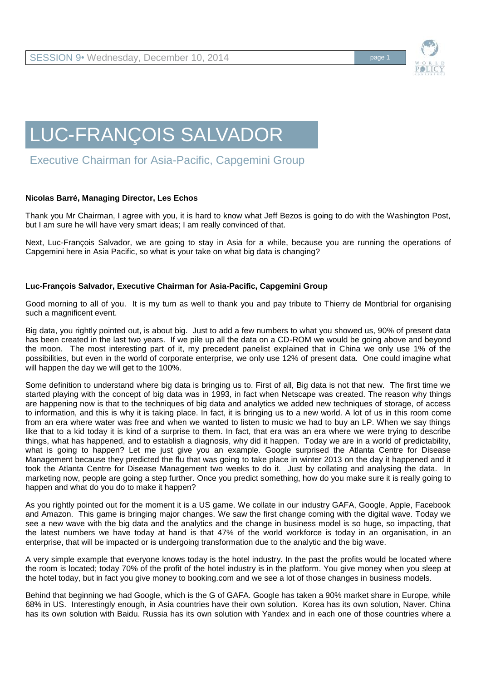

## LUC-FRANÇOIS SALVADOR

Executive Chairman for Asia-Pacific, Capgemini Group

## **Nicolas Barré, Managing Director, Les Echos**

Thank you Mr Chairman, I agree with you, it is hard to know what Jeff Bezos is going to do with the Washington Post, but I am sure he will have very smart ideas; I am really convinced of that.

Next, Luc-François Salvador, we are going to stay in Asia for a while, because you are running the operations of Capgemini here in Asia Pacific, so what is your take on what big data is changing?

## **Luc-François Salvador, Executive Chairman for Asia-Pacific, Capgemini Group**

Good morning to all of you. It is my turn as well to thank you and pay tribute to Thierry de Montbrial for organising such a magnificent event.

Big data, you rightly pointed out, is about big. Just to add a few numbers to what you showed us, 90% of present data has been created in the last two years. If we pile up all the data on a CD-ROM we would be going above and beyond the moon. The most interesting part of it, my precedent panelist explained that in China we only use 1% of the possibilities, but even in the world of corporate enterprise, we only use 12% of present data. One could imagine what will happen the day we will get to the 100%.

Some definition to understand where big data is bringing us to. First of all, Big data is not that new. The first time we started playing with the concept of big data was in 1993, in fact when Netscape was created. The reason why things are happening now is that to the techniques of big data and analytics we added new techniques of storage, of access to information, and this is why it is taking place. In fact, it is bringing us to a new world. A lot of us in this room come from an era where water was free and when we wanted to listen to music we had to buy an LP. When we say things like that to a kid today it is kind of a surprise to them. In fact, that era was an era where we were trying to describe things, what has happened, and to establish a diagnosis, why did it happen. Today we are in a world of predictability, what is going to happen? Let me just give you an example. Google surprised the Atlanta Centre for Disease Management because they predicted the flu that was going to take place in winter 2013 on the day it happened and it took the Atlanta Centre for Disease Management two weeks to do it. Just by collating and analysing the data. In marketing now, people are going a step further. Once you predict something, how do you make sure it is really going to happen and what do you do to make it happen?

As you rightly pointed out for the moment it is a US game. We collate in our industry GAFA, Google, Apple, Facebook and Amazon. This game is bringing major changes. We saw the first change coming with the digital wave. Today we see a new wave with the big data and the analytics and the change in business model is so huge, so impacting, that the latest numbers we have today at hand is that 47% of the world workforce is today in an organisation, in an enterprise, that will be impacted or is undergoing transformation due to the analytic and the big wave.

A very simple example that everyone knows today is the hotel industry. In the past the profits would be located where the room is located; today 70% of the profit of the hotel industry is in the platform. You give money when you sleep at the hotel today, but in fact you give money to booking.com and we see a lot of those changes in business models.

Behind that beginning we had Google, which is the G of GAFA. Google has taken a 90% market share in Europe, while 68% in US. Interestingly enough, in Asia countries have their own solution. Korea has its own solution, Naver. China has its own solution with Baidu. Russia has its own solution with Yandex and in each one of those countries where a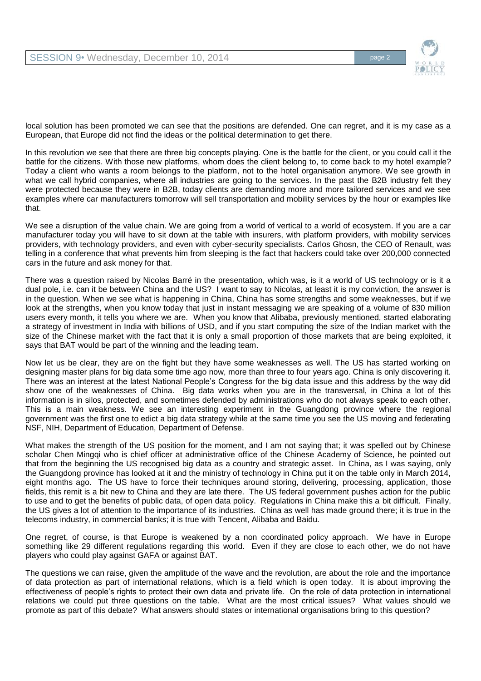

local solution has been promoted we can see that the positions are defended. One can regret, and it is my case as a European, that Europe did not find the ideas or the political determination to get there.

In this revolution we see that there are three big concepts playing. One is the battle for the client, or you could call it the battle for the citizens. With those new platforms, whom does the client belong to, to come back to my hotel example? Today a client who wants a room belongs to the platform, not to the hotel organisation anymore. We see growth in what we call hybrid companies, where all industries are going to the services. In the past the B2B industry felt they were protected because they were in B2B, today clients are demanding more and more tailored services and we see examples where car manufacturers tomorrow will sell transportation and mobility services by the hour or examples like that.

We see a disruption of the value chain. We are going from a world of vertical to a world of ecosystem. If you are a car manufacturer today you will have to sit down at the table with insurers, with platform providers, with mobility services providers, with technology providers, and even with cyber-security specialists. Carlos Ghosn, the CEO of Renault, was telling in a conference that what prevents him from sleeping is the fact that hackers could take over 200,000 connected cars in the future and ask money for that.

There was a question raised by Nicolas Barré in the presentation, which was, is it a world of US technology or is it a dual pole, i.e. can it be between China and the US? I want to say to Nicolas, at least it is my conviction, the answer is in the question. When we see what is happening in China, China has some strengths and some weaknesses, but if we look at the strengths, when you know today that just in instant messaging we are speaking of a volume of 830 million users every month, it tells you where we are. When you know that Alibaba, previously mentioned, started elaborating a strategy of investment in India with billions of USD, and if you start computing the size of the Indian market with the size of the Chinese market with the fact that it is only a small proportion of those markets that are being exploited, it says that BAT would be part of the winning and the leading team.

Now let us be clear, they are on the fight but they have some weaknesses as well. The US has started working on designing master plans for big data some time ago now, more than three to four years ago. China is only discovering it. There was an interest at the latest National People's Congress for the big data issue and this address by the way did show one of the weaknesses of China. Big data works when you are in the transversal, in China a lot of this information is in silos, protected, and sometimes defended by administrations who do not always speak to each other. This is a main weakness. We see an interesting experiment in the Guangdong province where the regional government was the first one to edict a big data strategy while at the same time you see the US moving and federating NSF, NIH, Department of Education, Department of Defense.

What makes the strength of the US position for the moment, and I am not saying that; it was spelled out by Chinese scholar Chen Mingqi who is chief officer at administrative office of the Chinese Academy of Science, he pointed out that from the beginning the US recognised big data as a country and strategic asset. In China, as I was saying, only the Guangdong province has looked at it and the ministry of technology in China put it on the table only in March 2014, eight months ago. The US have to force their techniques around storing, delivering, processing, application, those fields, this remit is a bit new to China and they are late there. The US federal government pushes action for the public to use and to get the benefits of public data, of open data policy. Regulations in China make this a bit difficult. Finally, the US gives a lot of attention to the importance of its industries. China as well has made ground there; it is true in the telecoms industry, in commercial banks; it is true with Tencent, Alibaba and Baidu.

One regret, of course, is that Europe is weakened by a non coordinated policy approach. We have in Europe something like 29 different regulations regarding this world. Even if they are close to each other, we do not have players who could play against GAFA or against BAT.

The questions we can raise, given the amplitude of the wave and the revolution, are about the role and the importance of data protection as part of international relations, which is a field which is open today. It is about improving the effectiveness of people's rights to protect their own data and private life. On the role of data protection in international relations we could put three questions on the table. What are the most critical issues? What values should we promote as part of this debate? What answers should states or international organisations bring to this question?